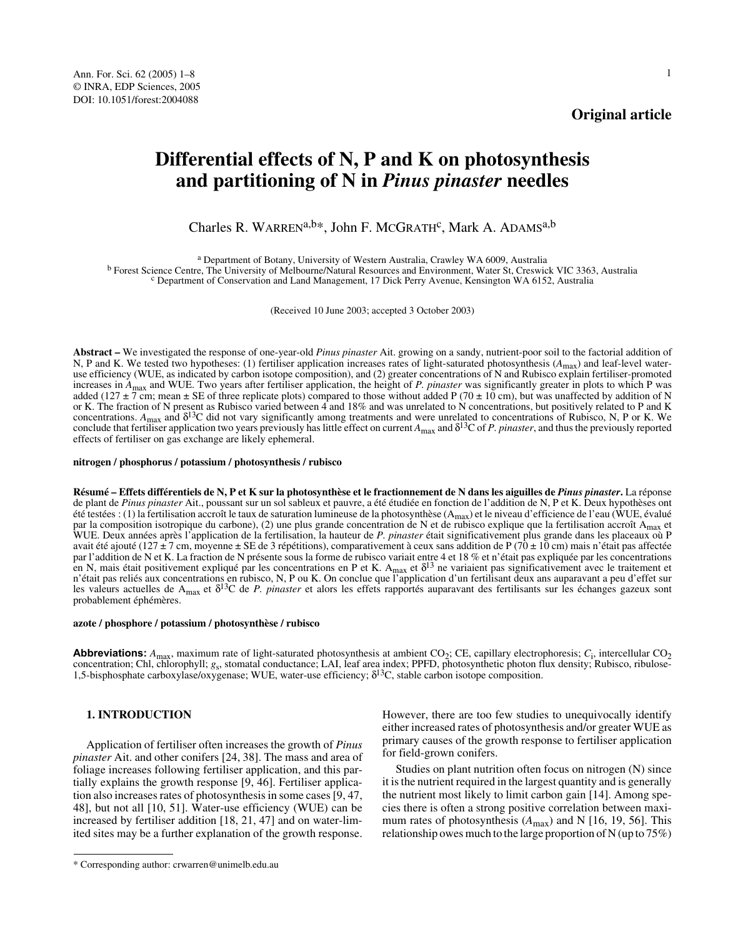## **Original article**

# **Differential effects of N, P and K on photosynthesis and partitioning of N in** *Pinus pinaster* **needles**

Charles R. WARREN<sup>a,b\*</sup>, John F. MCGRATH<sup>c</sup>, Mark A. ADAMS<sup>a,b</sup>

<sup>a</sup> Department of Botany, University of Western Australia, Crawley WA 6009, Australia<br><sup>b</sup> Forest Science Centre, The University of Melbourne/Natural Resources and Environment, Water St, Creswick VIC 3363, Australia<br><sup>c</sup> Dep

(Received 10 June 2003; accepted 3 October 2003)

**Abstract –** We investigated the response of one-year-old *Pinus pinaster* Ait. growing on a sandy, nutrient-poor soil to the factorial addition of N, P and K. We tested two hypotheses: (1) fertiliser application increases rates of light-saturated photosynthesis (*A*max) and leaf-level wateruse efficiency (WUE, as indicated by carbon isotope composition), and (2) greater concentrations of N and Rubisco explain fertiliser-promoted increases in  $A_{\text{max}}$  and WUE. Two years after fertiliser application, the height of *P. pinaster* was significantly greater in plots to which P was added (127  $\pm$  7 cm; mean  $\pm$  SE of three replicate plots) compared t or K. The fraction of N present as Rubisco varied between 4 and 18% and was unrelated to N concentrations, but positively related to P and K concentrations.  $A_{\text{max}}$  and  $\delta^{13}C$  did not vary significantly among treatments and were unrelated to concentrations of Rubisco, N, P or K. We conclude that fertiliser application two years previously has little effect on current  $A_{\text{max}}$  and  $\delta^{13}$ C of *P. pinaster*, and thus the previously reported effects of fertiliser on gas exchange are likely ephemeral.

**nitrogen / phosphorus / potassium / photosynthesis / rubisco**

**Résumé – Effets différentiels de N, P et K sur la photosynthèse et le fractionnement de N dans les aiguilles de** *Pinus pinaster***.** La réponse de plant de *Pinus pinaster* Ait., poussant sur un sol sableux et pauvre, a été étudiée en fonction de l'addition de N, P et K. Deux hypothèses ont été testées : (1) la fertilisation accroît le taux de saturation lumineuse de la photosynthèse ( $A_{max}$ ) et le niveau d'efficience de l'eau (WUE, évalué par la composition isotropique du carbone), (2) une plus grande concentration de N et de rubisco explique que la fertilisation accroît A<sub>max</sub> et<br>WUE. Deux années après l'application de la fertilisation, la hauteur de P. *p* avait été ajouté (127 ± 7 cm, moyenne ± SE de 3 répétitions), comparativement à ceux sans addition de P (70 ± 10 cm) mais n'était pas affectée par l'addition de N et K. La fraction de N présente sous la forme de rubisco variait entre 4 et 18 % et n'était pas expliquée par les concentrations<br>en N, mais était positivement expliqué par les concentrations en P et K. n'était pas reliés aux concentrations en rubisco, N, P ou K. On conclue que l'application d'un fertilisant deux ans auparavant a peu d'effet sur les valeurs actuelles de Amax et δ13C de *P. pinaster* et alors les effets rapportés auparavant des fertilisants sur les échanges gazeux sont probablement éphémères.

#### **azote / phosphore / potassium / photosynthèse / rubisco**

**Abbreviations:**  $A_{\text{max}}$ , maximum rate of light-saturated photosynthesis at ambient CO<sub>2</sub>; CE, capillary electrophoresis;  $C_i$ , intercellular CO<sub>2</sub> concentration; Chl, chlorophyll; *g*s, stomatal conductance; LAI, leaf area index; PPFD, photosynthetic photon flux density; Rubisco, ribulose-1,5-bisphosphate carboxylase/oxygenase; WUE, water-use efficiency;  $\delta^{13}$ C, stable carbon isotope composition.

## **1. INTRODUCTION**

Application of fertiliser often increases the growth of *Pinus pinaster* Ait. and other conifers [24, 38]. The mass and area of foliage increases following fertiliser application, and this partially explains the growth response [9, 46]. Fertiliser application also increases rates of photosynthesis in some cases [9, 47, 48], but not all [10, 51]. Water-use efficiency (WUE) can be increased by fertiliser addition [18, 21, 47] and on water-limited sites may be a further explanation of the growth response.

However, there are too few studies to unequivocally identify either increased rates of photosynthesis and/or greater WUE as primary causes of the growth response to fertiliser application for field-grown conifers.

Studies on plant nutrition often focus on nitrogen (N) since it is the nutrient required in the largest quantity and is generally the nutrient most likely to limit carbon gain [14]. Among species there is often a strong positive correlation between maximum rates of photosynthesis  $(A_{\text{max}})$  and N [16, 19, 56]. This relationship owes much to the large proportion of N (up to 75%)

<sup>\*</sup> Corresponding author: crwarren@unimelb.edu.au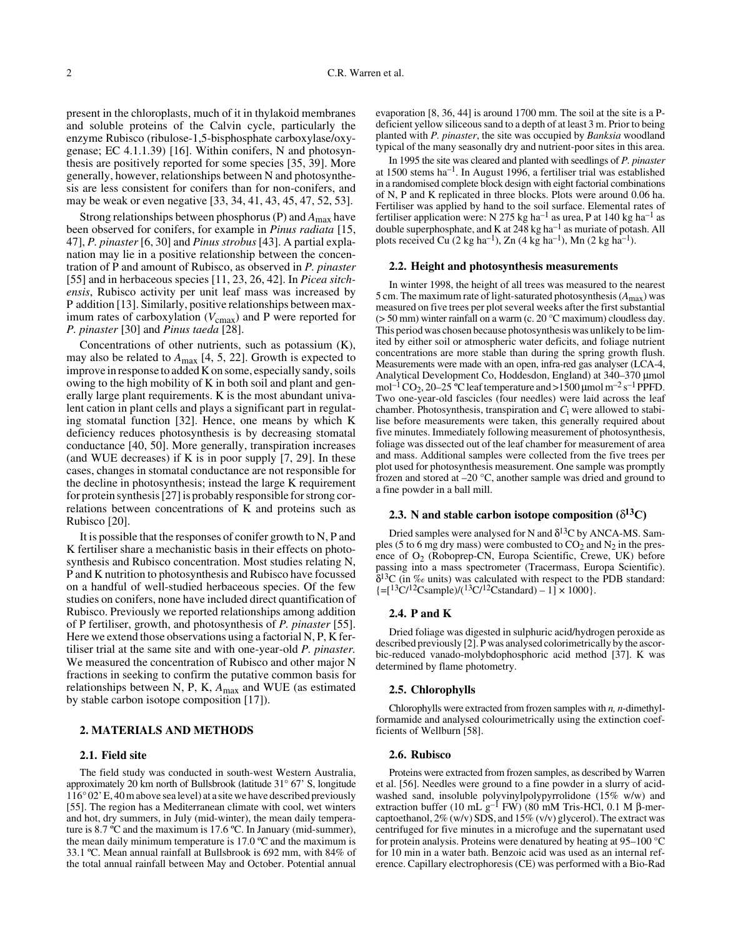present in the chloroplasts, much of it in thylakoid membranes and soluble proteins of the Calvin cycle, particularly the enzyme Rubisco (ribulose-1,5-bisphosphate carboxylase/oxygenase; EC 4.1.1.39) [16]. Within conifers, N and photosynthesis are positively reported for some species [35, 39]. More generally, however, relationships between N and photosynthesis are less consistent for conifers than for non-conifers, and may be weak or even negative [33, 34, 41, 43, 45, 47, 52, 53].

Strong relationships between phosphorus (P) and *A*max have been observed for conifers, for example in *Pinus radiata* [15, 47], *P. pinaster* [6, 30] and *Pinus strobus* [43]. A partial explanation may lie in a positive relationship between the concentration of P and amount of Rubisco, as observed in *P. pinaster* [55] and in herbaceous species [11, 23, 26, 42]. In *Picea sitchensis*, Rubisco activity per unit leaf mass was increased by P addition [13]. Similarly, positive relationships between maximum rates of carboxylation ( $V_{\text{cmax}}$ ) and P were reported for *P. pinaster* [30] and *Pinus taeda* [28].

Concentrations of other nutrients, such as potassium (K), may also be related to  $A_{\text{max}}$  [4, 5, 22]. Growth is expected to improve in response to added K on some, especially sandy, soils owing to the high mobility of K in both soil and plant and generally large plant requirements. K is the most abundant univalent cation in plant cells and plays a significant part in regulating stomatal function [32]. Hence, one means by which K deficiency reduces photosynthesis is by decreasing stomatal conductance [40, 50]. More generally, transpiration increases (and WUE decreases) if K is in poor supply [7, 29]. In these cases, changes in stomatal conductance are not responsible for the decline in photosynthesis; instead the large K requirement for protein synthesis [27] is probably responsible for strong correlations between concentrations of K and proteins such as Rubisco [20].

It is possible that the responses of conifer growth to N, P and K fertiliser share a mechanistic basis in their effects on photosynthesis and Rubisco concentration. Most studies relating N, P and K nutrition to photosynthesis and Rubisco have focussed on a handful of well-studied herbaceous species. Of the few studies on conifers, none have included direct quantification of Rubisco. Previously we reported relationships among addition of P fertiliser, growth, and photosynthesis of *P. pinaster* [55]. Here we extend those observations using a factorial N, P, K fertiliser trial at the same site and with one-year-old *P. pinaster.* We measured the concentration of Rubisco and other major N fractions in seeking to confirm the putative common basis for relationships between N, P, K, *A*max and WUE (as estimated by stable carbon isotope composition [17]).

#### **2. MATERIALS AND METHODS**

## **2.1. Field site**

The field study was conducted in south-west Western Australia, approximately 20 km north of Bullsbrook (latitude 31° 67' S, longitude 116° 02' E, 40 m above sea level) at a site we have described previously [55]. The region has a Mediterranean climate with cool, wet winters and hot, dry summers, in July (mid-winter), the mean daily temperature is 8.7 ºC and the maximum is 17.6 ºC. In January (mid-summer), the mean daily minimum temperature is 17.0 ºC and the maximum is 33.1 ºC. Mean annual rainfall at Bullsbrook is 692 mm, with 84% of the total annual rainfall between May and October. Potential annual

evaporation [8, 36, 44] is around 1700 mm. The soil at the site is a Pdeficient yellow siliceous sand to a depth of at least 3 m. Prior to being planted with *P. pinaster*, the site was occupied by *Banksia* woodland typical of the many seasonally dry and nutrient-poor sites in this area.

In 1995 the site was cleared and planted with seedlings of *P. pinaster* at 1500 stems ha–1. In August 1996, a fertiliser trial was established in a randomised complete block design with eight factorial combinations of N, P and K replicated in three blocks. Plots were around 0.06 ha. Fertiliser was applied by hand to the soil surface. Elemental rates of fertiliser application were: N 275 kg ha<sup>-1</sup> as urea, P at 140 kg ha<sup>-1</sup> as double superphosphate, and K at 248 kg ha–1 as muriate of potash. All plots received Cu  $(2 \text{ kg ha}^{-1})$ , Zn  $(4 \text{ kg ha}^{-1})$ , Mn  $(2 \text{ kg ha}^{-1})$ .

## **2.2. Height and photosynthesis measurements**

In winter 1998, the height of all trees was measured to the nearest 5 cm. The maximum rate of light-saturated photosynthesis  $(A_{\text{max}})$  was measured on five trees per plot several weeks after the first substantial ( $>$  50 mm) winter rainfall on a warm (c. 20 °C maximum) cloudless day. This period was chosen because photosynthesis was unlikely to be limited by either soil or atmospheric water deficits, and foliage nutrient concentrations are more stable than during the spring growth flush. Measurements were made with an open, infra-red gas analyser (LCA-4, Analytical Development Co, Hoddesdon, England) at 340–370 µmol mol<sup>-1</sup> CO<sub>2</sub>, 20–25 °C leaf temperature and >1500 µmol m<sup>-2</sup> s<sup>-1</sup> PPFD. Two one-year-old fascicles (four needles) were laid across the leaf chamber. Photosynthesis, transpiration and *C*i were allowed to stabilise before measurements were taken, this generally required about five minutes. Immediately following measurement of photosynthesis, foliage was dissected out of the leaf chamber for measurement of area and mass. Additional samples were collected from the five trees per plot used for photosynthesis measurement. One sample was promptly frozen and stored at –20 °C, another sample was dried and ground to a fine powder in a ball mill.

## **2.3.** N and stable carbon isotope composition  $(\delta^{13}C)$

Dried samples were analysed for N and  $\delta^{13}$ C by ANCA-MS. Samples (5 to 6 mg dry mass) were combusted to  $CO<sub>2</sub>$  and  $N<sub>2</sub>$  in the presence of  $O_2$  (Roboprep-CN, Europa Scientific, Crewe, UK) before passing into a mass spectrometer (Tracermass, Europa Scientific).  $\delta^{13}C$  (in ‰ units) was calculated with respect to the PDB standard:  $\left[-[13C/12\text{Csample}]/(13C/12\text{Cstandard}) - 1\right] \times 1000$ .

#### **2.4. P and K**

Dried foliage was digested in sulphuric acid/hydrogen peroxide as described previously [2]. P was analysed colorimetrically by the ascorbic-reduced vanado-molybdophosphoric acid method [37]. K was determined by flame photometry.

## **2.5. Chlorophylls**

Chlorophylls were extracted from frozen samples with *n, n*-dimethylformamide and analysed colourimetrically using the extinction coefficients of Wellburn [58].

#### **2.6. Rubisco**

Proteins were extracted from frozen samples, as described by Warren et al. [56]. Needles were ground to a fine powder in a slurry of acidwashed sand, insoluble polyvinylpolypyrrolidone (15% w/w) and extraction buffer (10 mL  $g^{-1}$  FW) (80 mM Tris-HCl, 0.1 M β-mercaptoethanol,  $2\%$  (w/v) SDS, and  $15\%$  (v/v) glycerol). The extract was centrifuged for five minutes in a microfuge and the supernatant used for protein analysis. Proteins were denatured by heating at 95–100 °C for 10 min in a water bath. Benzoic acid was used as an internal reference. Capillary electrophoresis (CE) was performed with a Bio-Rad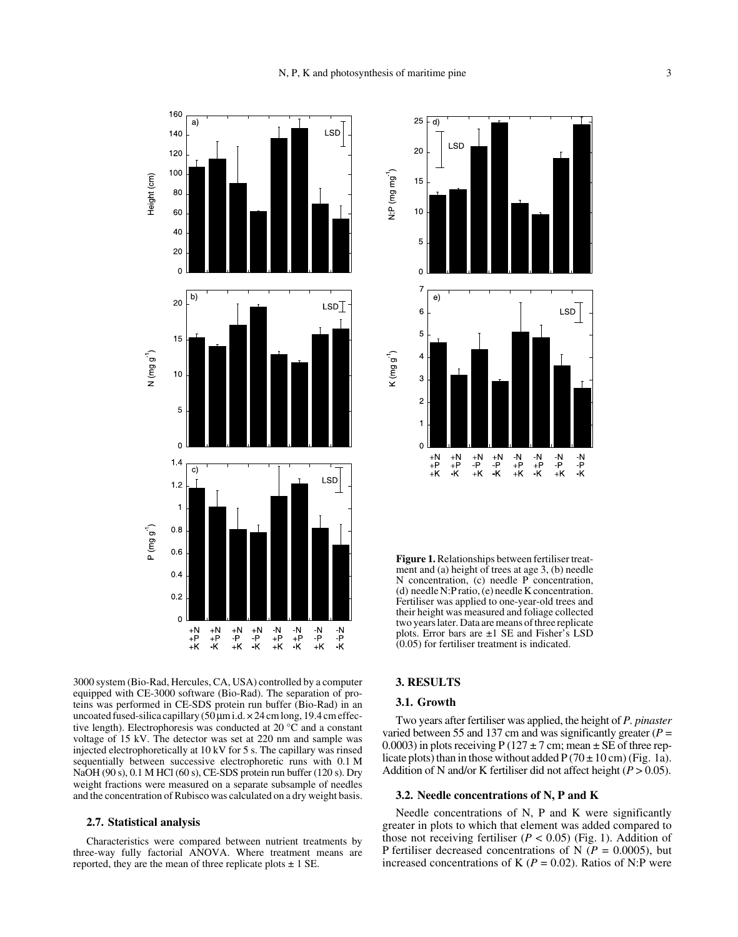

3000 system (Bio-Rad, Hercules, CA, USA) controlled by a computer equipped with CE-3000 software (Bio-Rad). The separation of proteins was performed in CE-SDS protein run buffer (Bio-Rad) in an uncoated fused-silica capillary  $(50 \mu m \text{ i.d.} \times 24 \text{ cm} \text{ long}, 19.4 \text{ cm} \text{ effect-}$ tive length). Electrophoresis was conducted at 20 °C and a constant voltage of 15 kV. The detector was set at 220 nm and sample was injected electrophoretically at 10 kV for 5 s. The capillary was rinsed sequentially between successive electrophoretic runs with 0.1 M NaOH (90 s), 0.1 M HCl (60 s), CE-SDS protein run buffer (120 s). Dry weight fractions were measured on a separate subsample of needles and the concentration of Rubisco was calculated on a dry weight basis.

## **2.7. Statistical analysis**

Characteristics were compared between nutrient treatments by three-way fully factorial ANOVA. Where treatment means are reported, they are the mean of three replicate plots  $\pm$  1 SE.



**Figure 1.** Relationships between fertiliser treatment and (a) height of trees at age 3, (b) needle N concentration, (c) needle P concentration, (d) needle N:P ratio, (e) needle K concentration. Fertiliser was applied to one-year-old trees and their height was measured and foliage collected two years later. Data are means of three replicate plots. Error bars are ±1 SE and Fisher's LSD (0.05) for fertiliser treatment is indicated.

## **3. RESULTS**

#### **3.1. Growth**

Two years after fertiliser was applied, the height of *P. pinaster* varied between 55 and 137 cm and was significantly greater (*P* = 0.0003) in plots receiving P (127  $\pm$  7 cm; mean  $\pm$  SE of three replicate plots) than in those without added  $P(70 \pm 10 \text{ cm})$  (Fig. 1a). Addition of N and/or K fertiliser did not affect height  $(P > 0.05)$ .

## **3.2. Needle concentrations of N, P and K**

Needle concentrations of N, P and K were significantly greater in plots to which that element was added compared to those not receiving fertiliser  $(P < 0.05)$  (Fig. 1). Addition of P fertiliser decreased concentrations of N (*P* = 0.0005), but increased concentrations of K ( $P = 0.02$ ). Ratios of N:P were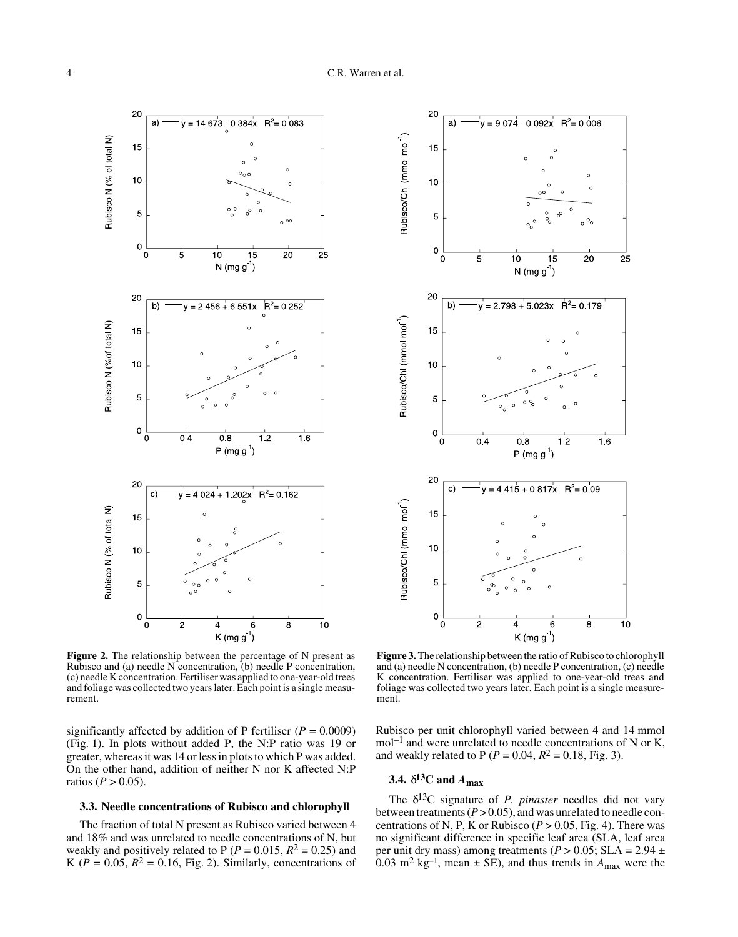

**Figure 2.** The relationship between the percentage of N present as Rubisco and (a) needle N concentration, (b) needle P concentration, (c) needle K concentration. Fertiliser was applied to one-year-old trees and foliage was collected two years later. Each point is a single measurement.

significantly affected by addition of P fertiliser  $(P = 0.0009)$ (Fig. 1). In plots without added P, the N:P ratio was 19 or greater, whereas it was 14 or less in plots to which P was added. On the other hand, addition of neither N nor K affected N:P ratios ( $P > 0.05$ ).

#### **3.3. Needle concentrations of Rubisco and chlorophyll**

The fraction of total N present as Rubisco varied between 4 and 18% and was unrelated to needle concentrations of N, but weakly and positively related to P ( $P = 0.015$ ,  $R^2 = 0.25$ ) and K ( $P = 0.05$ ,  $R^2 = 0.16$ , Fig. 2). Similarly, concentrations of



**Figure 3.** The relationship between the ratio of Rubisco to chlorophyll and (a) needle N concentration, (b) needle P concentration, (c) needle K concentration. Fertiliser was applied to one-year-old trees and foliage was collected two years later. Each point is a single measurement.

Rubisco per unit chlorophyll varied between 4 and 14 mmol  $mol^{-1}$  and were unrelated to needle concentrations of N or K, and weakly related to P ( $P = 0.04$ ,  $R^2 = 0.18$ , Fig. 3).

# **3.4.**  $\delta^{13}$ C and  $A_{\text{max}}$

The δ13C signature of *P. pinaster* needles did not vary between treatments  $(P > 0.05)$ , and was unrelated to needle concentrations of N, P, K or Rubisco ( $P > 0.05$ , Fig. 4). There was no significant difference in specific leaf area (SLA, leaf area per unit dry mass) among treatments ( $P > 0.05$ ; SLA = 2.94  $\pm$ 0.03 m<sup>2</sup> kg<sup>-1</sup>, mean  $\pm$  SE), and thus trends in  $A_{\text{max}}$  were the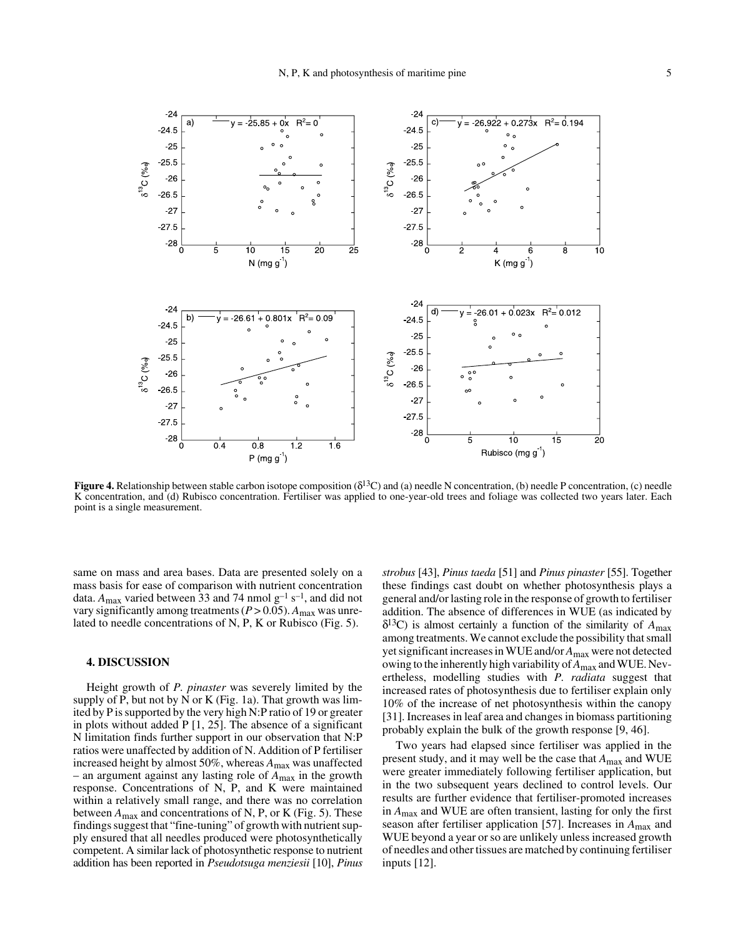

**Figure 4.** Relationship between stable carbon isotope composition  $(\delta^{13}C)$  and (a) needle N concentration, (b) needle P concentration, (c) needle K concentration, and (d) Rubisco concentration. Fertiliser was applied to one-year-old trees and foliage was collected two years later. Each point is a single measurement.

same on mass and area bases. Data are presented solely on a mass basis for ease of comparison with nutrient concentration data.  $A_{\text{max}}$  varied between 33 and 74 nmol  $g^{-1} s^{-1}$ , and did not vary significantly among treatments ( $P > 0.05$ ).  $A_{\text{max}}$  was unrelated to needle concentrations of N, P, K or Rubisco (Fig. 5).

## **4. DISCUSSION**

Height growth of *P. pinaster* was severely limited by the supply of P, but not by N or K (Fig. 1a). That growth was limited by P is supported by the very high N:P ratio of 19 or greater in plots without added P [1, 25]. The absence of a significant N limitation finds further support in our observation that N:P ratios were unaffected by addition of N. Addition of P fertiliser increased height by almost 50%, whereas *A*max was unaffected – an argument against any lasting role of *A*max in the growth response. Concentrations of N, P, and K were maintained within a relatively small range, and there was no correlation between *A*max and concentrations of N, P, or K (Fig. 5). These findings suggest that "fine-tuning" of growth with nutrient supply ensured that all needles produced were photosynthetically competent. A similar lack of photosynthetic response to nutrient addition has been reported in *Pseudotsuga menziesii* [10], *Pinus*

*strobus* [43], *Pinus taeda* [51] and *Pinus pinaster* [55]. Together these findings cast doubt on whether photosynthesis plays a general and/or lasting role in the response of growth to fertiliser addition. The absence of differences in WUE (as indicated by  $\delta^{13}$ C) is almost certainly a function of the similarity of  $A_{\text{max}}$ among treatments. We cannot exclude the possibility that small yet significant increases in WUE and/or *A*max were not detected owing to the inherently high variability of *A*max and WUE. Nevertheless, modelling studies with *P. radiata* suggest that increased rates of photosynthesis due to fertiliser explain only 10% of the increase of net photosynthesis within the canopy [31]. Increases in leaf area and changes in biomass partitioning probably explain the bulk of the growth response [9, 46].

Two years had elapsed since fertiliser was applied in the present study, and it may well be the case that *A*max and WUE were greater immediately following fertiliser application, but in the two subsequent years declined to control levels. Our results are further evidence that fertiliser-promoted increases in *A*max and WUE are often transient, lasting for only the first season after fertiliser application [57]. Increases in *A*max and WUE beyond a year or so are unlikely unless increased growth of needles and other tissues are matched by continuing fertiliser inputs [12].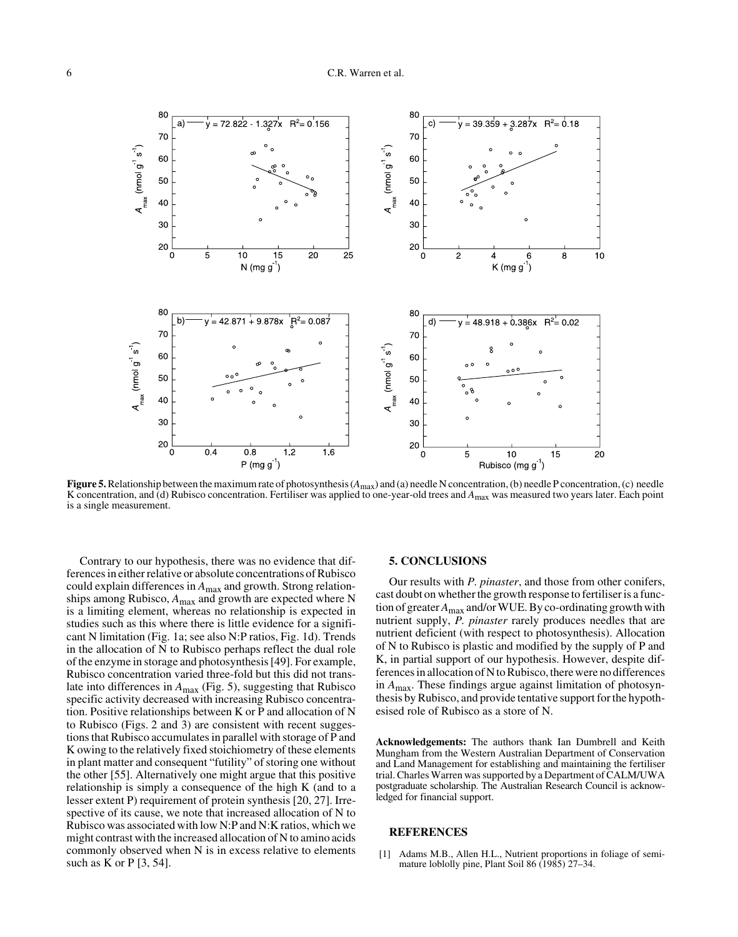

**Figure 5.** Relationship between the maximum rate of photosynthesis ( $A_{\text{max}}$ ) and (a) needle N concentration, (b) needle P concentration, (c) needle K concentration, and (d) Rubisco concentration. Fertiliser was applied to one-year-old trees and *A*max was measured two years later. Each point is a single measurement.

Contrary to our hypothesis, there was no evidence that differences in either relative or absolute concentrations of Rubisco could explain differences in *A*max and growth. Strong relationships among Rubisco, *A*max and growth are expected where N is a limiting element, whereas no relationship is expected in studies such as this where there is little evidence for a significant N limitation (Fig. 1a; see also N:P ratios, Fig. 1d). Trends in the allocation of N to Rubisco perhaps reflect the dual role of the enzyme in storage and photosynthesis [49]. For example, Rubisco concentration varied three-fold but this did not translate into differences in *A*max (Fig. 5), suggesting that Rubisco specific activity decreased with increasing Rubisco concentration. Positive relationships between K or P and allocation of N to Rubisco (Figs. 2 and 3) are consistent with recent suggestions that Rubisco accumulates in parallel with storage of P and K owing to the relatively fixed stoichiometry of these elements in plant matter and consequent "futility" of storing one without the other [55]. Alternatively one might argue that this positive relationship is simply a consequence of the high K (and to a lesser extent P) requirement of protein synthesis [20, 27]. Irrespective of its cause, we note that increased allocation of N to Rubisco was associated with low N:P and N:K ratios, which we might contrast with the increased allocation of N to amino acids commonly observed when N is in excess relative to elements such as K or  $P$  [3, 54].

#### **5. CONCLUSIONS**

Our results with *P. pinaster*, and those from other conifers, cast doubt on whether the growth response to fertiliser is a function of greater *A*max and/or WUE. By co-ordinating growth with nutrient supply, *P. pinaster* rarely produces needles that are nutrient deficient (with respect to photosynthesis). Allocation of N to Rubisco is plastic and modified by the supply of P and K, in partial support of our hypothesis. However, despite differences in allocation of N to Rubisco, there were no differences in *A*max. These findings argue against limitation of photosynthesis by Rubisco, and provide tentative support for the hypothesised role of Rubisco as a store of N.

**Acknowledgements:** The authors thank Ian Dumbrell and Keith Mungham from the Western Australian Department of Conservation and Land Management for establishing and maintaining the fertiliser trial. Charles Warren was supported by a Department of CALM/UWA postgraduate scholarship. The Australian Research Council is acknowledged for financial support.

#### **REFERENCES**

[1] Adams M.B., Allen H.L., Nutrient proportions in foliage of semimature loblolly pine, Plant Soil 86 (1985) 27-34.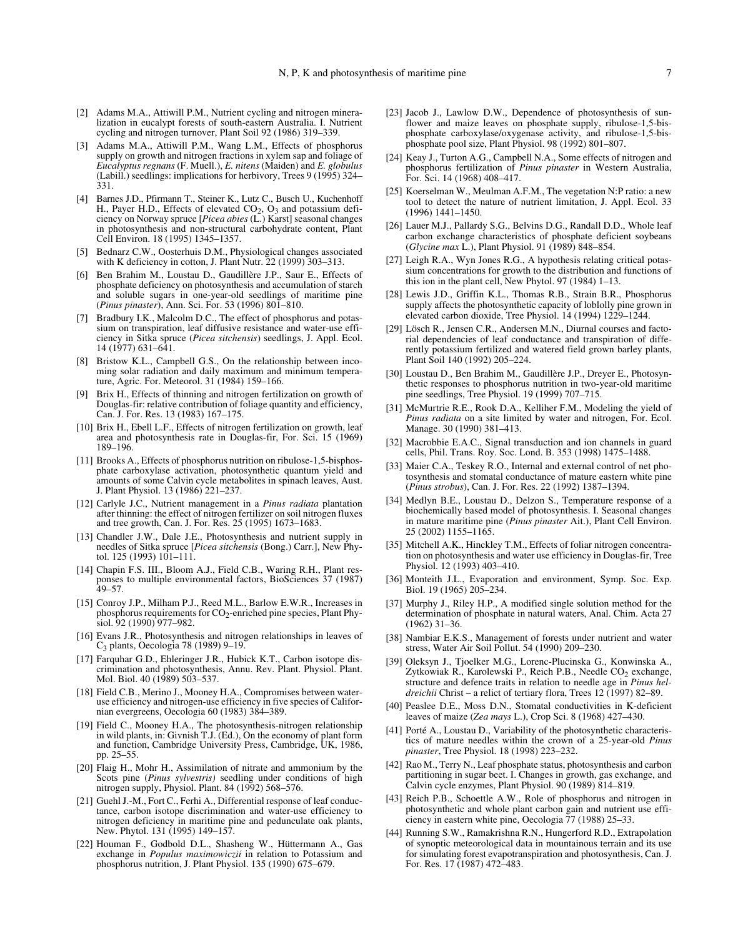- [2] Adams M.A., Attiwill P.M., Nutrient cycling and nitrogen mineralization in eucalypt forests of south-eastern Australia. I. Nutrient cycling and nitrogen turnover, Plant Soil 92 (1986) 319–339.
- [3] Adams M.A., Attiwill P.M., Wang L.M., Effects of phosphorus supply on growth and nitrogen fractions in xylem sap and foliage of *Eucalyptus regnans* (F. Muell.), *E. nitens* (Maiden) and *E. globulus* (Labill.) seedlings: implications for herbivory, Trees 9 (1995) 324– 331.
- [4] Barnes J.D., Pfirmann T., Steiner K., Lutz C., Busch U., Kuchenhoff H., Payer H.D., Effects of elevated  $CO<sub>2</sub>$ ,  $O<sub>3</sub>$  and potassium deficiency on Norway spruce [*Picea abies* (L.) Karst] seasonal changes in photosynthesis and non-structural carbohydrate content, Plant Cell Environ. 18 (1995) 1345–1357.
- [5] Bednarz C.W., Oosterhuis D.M., Physiological changes associated with K deficiency in cotton, J. Plant Nutr. 22 (1999) 303–313.
- [6] Ben Brahim M., Loustau D., Gaudillère J.P., Saur E., Effects of phosphate deficiency on photosynthesis and accumulation of starch and soluble sugars in one-year-old seedlings of maritime pine (*Pinus pinaster*), Ann. Sci. For. 53 (1996) 801–810.
- [7] Bradbury I.K., Malcolm D.C., The effect of phosphorus and potassium on transpiration, leaf diffusive resistance and water-use efficiency in Sitka spruce (*Picea sitchensis*) seedlings, J. Appl. Ecol. 14 (1977) 631–641.
- [8] Bristow K.L., Campbell G.S., On the relationship between incoming solar radiation and daily maximum and minimum temperature, Agric. For. Meteorol. 31 (1984) 159–166.
- [9] Brix H., Effects of thinning and nitrogen fertilization on growth of Douglas-fir: relative contribution of foliage quantity and efficiency, Can. J. For. Res. 13 (1983) 167–175.
- [10] Brix H., Ebell L.F., Effects of nitrogen fertilization on growth, leaf area and photosynthesis rate in Douglas-fir, For. Sci. 15 (1969) 189–196.
- [11] Brooks A., Effects of phosphorus nutrition on ribulose-1,5-bisphosphate carboxylase activation, photosynthetic quantum yield and amounts of some Calvin cycle metabolites in spinach leaves, Aust. J. Plant Physiol. 13 (1986) 221–237.
- [12] Carlyle J.C., Nutrient management in a *Pinus radiata* plantation after thinning: the effect of nitrogen fertilizer on soil nitrogen fluxes and tree growth, Can. J. For. Res. 25 (1995) 1673–1683.
- [13] Chandler J.W., Dale J.E., Photosynthesis and nutrient supply in needles of Sitka spruce [*Picea sitchensis* (Bong.) Carr.], New Phytol. 125 (1993) 101–111.
- [14] Chapin F.S. III., Bloom A.J., Field C.B., Waring R.H., Plant responses to multiple environmental factors, BioSciences 37 (1987) 49–57.
- [15] Conroy J.P., Milham P.J., Reed M.L., Barlow E.W.R., Increases in phosphorus requirements for CO<sub>2</sub>-enriched pine species, Plant Physiol. 92 (1990) 977–982.
- [16] Evans J.R., Photosynthesis and nitrogen relationships in leaves of C3 plants, Oecologia 78 (1989) 9–19.
- [17] Farquhar G.D., Ehleringer J.R., Hubick K.T., Carbon isotope discrimination and photosynthesis, Annu. Rev. Plant. Physiol. Plant. Mol. Biol. 40 (1989) 503–537.
- [18] Field C.B., Merino J., Mooney H.A., Compromises between wateruse efficiency and nitrogen-use efficiency in five species of Californian evergreens, Oecologia 60 (1983) 384–389.
- [19] Field C., Mooney H.A., The photosynthesis-nitrogen relationship in wild plants, in: Givnish T.J. (Ed.), On the economy of plant form and function, Cambridge University Press, Cambridge, UK, 1986, pp. 25–55.
- [20] Flaig H., Mohr H., Assimilation of nitrate and ammonium by the Scots pine (*Pinus sylvestris)* seedling under conditions of high nitrogen supply, Physiol. Plant. 84 (1992) 568–576.
- [21] Guehl J.-M., Fort C., Ferhi A., Differential response of leaf conductance, carbon isotope discrimination and water-use efficiency to nitrogen deficiency in maritime pine and pedunculate oak plants, New. Phytol. 131 (1995) 149–157.
- [22] Houman F., Godbold D.L., Shasheng W., Hüttermann A., Gas exchange in *Populus maximowiczii* in relation to Potassium and phosphorus nutrition, J. Plant Physiol. 135 (1990) 675–679.
- [23] Jacob J., Lawlow D.W., Dependence of photosynthesis of sunflower and maize leaves on phosphate supply, ribulose-1,5-bisphosphate carboxylase/oxygenase activity, and ribulose-1,5-bisphosphate pool size, Plant Physiol. 98 (1992) 801–807.
- [24] Keay J., Turton A.G., Campbell N.A., Some effects of nitrogen and phosphorus fertilization of *Pinus pinaster* in Western Australia, For. Sci. 14 (1968) 408–417.
- [25] Koerselman W., Meulman A.F.M., The vegetation N:P ratio: a new tool to detect the nature of nutrient limitation, J. Appl. Ecol. 33 (1996) 1441–1450.
- [26] Lauer M.J., Pallardy S.G., Belvins D.G., Randall D.D., Whole leaf carbon exchange characteristics of phosphate deficient soybeans (*Glycine max* L.), Plant Physiol. 91 (1989) 848–854.
- [27] Leigh R.A., Wyn Jones R.G., A hypothesis relating critical potassium concentrations for growth to the distribution and functions of this ion in the plant cell, New Phytol. 97 (1984) 1–13.
- [28] Lewis J.D., Griffin K.L., Thomas R.B., Strain B.R., Phosphorus supply affects the photosynthetic capacity of loblolly pine grown in elevated carbon dioxide, Tree Physiol. 14 (1994) 1229–1244.
- [29] Lösch R., Jensen C.R., Andersen M.N., Diurnal courses and factorial dependencies of leaf conductance and transpiration of differently potassium fertilized and watered field grown barley plants, Plant Soil 140 (1992) 205–224.
- [30] Loustau D., Ben Brahim M., Gaudillère J.P., Dreyer E., Photosynthetic responses to phosphorus nutrition in two-year-old maritime pine seedlings, Tree Physiol. 19 (1999) 707–715.
- [31] McMurtrie R.E., Rook D.A., Kelliher F.M., Modeling the yield of *Pinus radiata* on a site limited by water and nitrogen, For. Ecol. Manage. 30 (1990) 381–413.
- [32] Macrobbie E.A.C., Signal transduction and ion channels in guard cells, Phil. Trans. Roy. Soc. Lond. B. 353 (1998) 1475–1488.
- [33] Maier C.A., Teskey R.O., Internal and external control of net photosynthesis and stomatal conductance of mature eastern white pine (*Pinus strobus*), Can. J. For. Res. 22 (1992) 1387–1394.
- [34] Medlyn B.E., Loustau D., Delzon S., Temperature response of a biochemically based model of photosynthesis. I. Seasonal changes in mature maritime pine (*Pinus pinaster* Ait.), Plant Cell Environ. 25 (2002) 1155–1165.
- [35] Mitchell A.K., Hinckley T.M., Effects of foliar nitrogen concentration on photosynthesis and water use efficiency in Douglas-fir, Tree Physiol. 12 (1993) 403–410.
- [36] Monteith J.L., Evaporation and environment, Symp. Soc. Exp. Biol. 19 (1965) 205–234.
- [37] Murphy J., Riley H.P., A modified single solution method for the determination of phosphate in natural waters, Anal. Chim. Acta 27 (1962) 31–36.
- [38] Nambiar E.K.S., Management of forests under nutrient and water stress, Water Air Soil Pollut. 54 (1990) 209–230.
- [39] Oleksyn J., Tjoelker M.G., Lorenc-Plucinska G., Konwinska A., Zytkowiak R., Karolewski P., Reich P.B., Needle  $CO<sub>2</sub>$  exchange, structure and defence traits in relation to needle age in *Pinus heldreichii* Christ – a relict of tertiary flora, Trees 12 (1997) 82–89.
- [40] Peaslee D.E., Moss D.N., Stomatal conductivities in K-deficient leaves of maize (*Zea mays* L.), Crop Sci. 8 (1968) 427–430.
- [41] Porté A., Loustau D., Variability of the photosynthetic characteristics of mature needles within the crown of a 25-year-old *Pinus pinaster*, Tree Physiol. 18 (1998) 223–232.
- [42] Rao M., Terry N., Leaf phosphate status, photosynthesis and carbon partitioning in sugar beet. I. Changes in growth, gas exchange, and Calvin cycle enzymes, Plant Physiol. 90 (1989) 814–819.
- [43] Reich P.B., Schoettle A.W., Role of phosphorus and nitrogen in photosynthetic and whole plant carbon gain and nutrient use efficiency in eastern white pine, Oecologia 77 (1988) 25–33.
- [44] Running S.W., Ramakrishna R.N., Hungerford R.D., Extrapolation of synoptic meteorological data in mountainous terrain and its use for simulating forest evapotranspiration and photosynthesis, Can. J. For. Res. 17 (1987) 472–483.